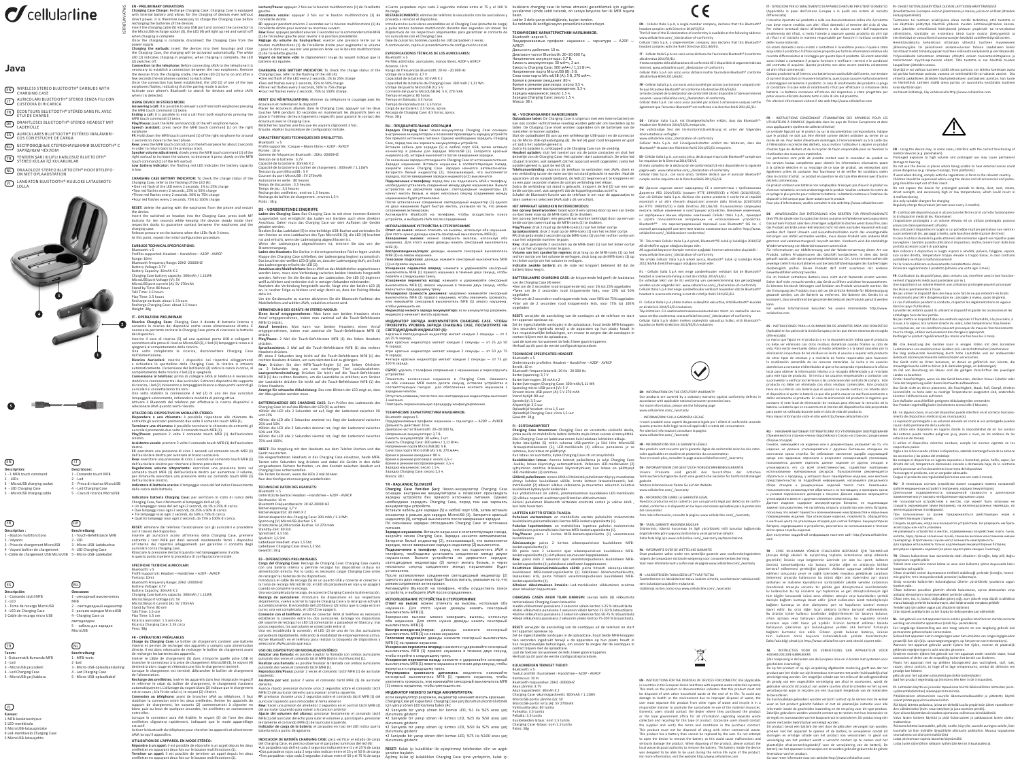ISTRBTJAVATWS

# *C*cellularline

# **Java**

**EN)** WIRELESS STEREO BLUETOOTH® EARBUDS WITH CHARGING CASE

- **IT** AURICOLARI BLUETOOTH® STEREO SENZA FILI CON<br>CUSTODIA DI RICARICA
- FR) ECOUTEURS BLUETOOTH® STEREO SANS FIL AVEC<br>ÉTUI DE CHARGE
- DE DRAHTLOSES BLUETOOTH®-STEREO-HEADSET MIT
- ES AURICULARES BLUETOOTH® ESTEREO INALAMBRI-<br>COS CON ESTUCHE DE CARGA
- RU) БЕСПРОВОДНЫЕ СТЕРЕОНАУШНИКИ BLUETOOTH® С<br>ЗАРЯДНЫМ ЧЕХЛОМ
- TR) YENIDEN ŞARJ KILIFLI KABLOSUZ BLUETOOTH®<br>STEREO KULAK İÇİ KULAKLIKLAR
- NL DRAADLOZE STEREO BLUETOOTH® HOOFDTELEFO-<br>ON MET OPLAADSTATION
- **FI)** LANGATON BLUETOOTH®-KUULOKE LATAUSKOTE-





EN - PRELIMINARY OPFRATIONS<br>
Charging Case Charge: Recharge Charging Case: Charging Case is equipped<br>
with internal battery and allows for the charging of devices even without<br>
direct power. It is therefore necessary to ch when charging is complete. Once the charging is complete, disconnect the Charging Case from the

power supply.<br>Charging the earbuds: insert the devices into their housings and close<br>the Charging Case, the charging will be activated automatically. The white<br>LED (2) indicates charging in progress, when charging is compl es off.<br>
on to the telephone: Before connecting JAVA to the telephone it is **Connection to the telephone:** Before connecting JAVA to the telephone it is necessary to establish a connection between the two earphones. Remove<br>the cevices from the charging cradle, the white LEO (2) turns on and after

**USING DEVICE IN STEREO MODE: Answering a call:** It is possible to answer a call from both earphones pressing the MFB touch command (1) twice. **ENDING A CONSTRUCT CONSTRUCTS**<br> **ENDING A CONSTRUCT CONSTRUCT CONSTRUCT**<br> **Ending a call:** It is possible to end a call from both earphones pressing the<br>
AAER touch command (1) twice. MFB touch command (1) twice.<br>**Play/Pause:** push the MFB command (1) of the left earphone twice.<br>**Speech assistant:** press twice the MFB touch command (1) on the right

earphone<br>**FF**: Hold down the MFB touch command (1) of the right earphone for around<br>2 seconds to move to the next phase.

**Rew:** press the MFB touch control (1) on the left earpiece for about 2 seconds<br>in order to return back to the previous track.<br>**Speaker volume adjustment:** slowly press the MFB touch command (1) of the<br>right earbul to incr **CHARGING CASE BATTERY INDICATOR:** To check the charge status of the

Charging Case, refer to the flashing of the LED (4):<br>•One red flash of the LED every 2 seconds, 1% to 25% charge<br>•Two red flashes every 2 seconds, 25% to 50% charge<br>•Three red flashes every 2 seconds, 50% to 170% charge.<br> **RESET:** delete the pairing with the earphones from the phone and restart

the device.<br>Insert the switched on headset into the Charging Case, press both MF<br>buttons for ten seconds while keeping the devices steady inside their<br>respective docks to guarantee contact between the earphones and the<br>cha

**2 IT - OPERAZIONI PRELIMINARI**<br>Ricarica Charging Case: Charging Case è dotata di batteria interna e<br>consente la ricarica dei dispositivi anche senza alimentazione diretta. È ساس العبيد والمجموعة وسابقة caricare la Charging Case prima di ricaricare le batt<br>tanto caricare la Charging Case prima di ricaricare le batt dei dispositivi. Inserire il cavo di ricarica (5) ad una qualsiasi porta USB e collegare il connettore alla presa di ricarica MicroUSB (3), il led (4) lampeggerà rosso e si

UTILIZZO DEL DISPOSITIVO IN MODALITÀ STEREO:<br>Rispondere a una chiamata: è possibile rispondere alle chiamate da<br>entrambi gli auricolari premendo due volte il comando touch MFB (1).<br>Terminare una chiamata: è possibile termi **Play/Pausa:** premere 2 volte il comando touch MFB (1) dell'auricolare sinistro.

itare una pressione di circa 2 secondi sul comando touch MFB (1)<br>olare destro per avanzare al brano successivo. dell'auricolare destro per avanzare al brano successivo.<br>Rew: esercitare una pressione di circa 2 secondi sul comando touch MFB (1)<br>Regalazione volume altoparlante: esercitare una pressione lenta sul<br>Regalazione volume alt dell'auricolare sinistro. **Indicatore di batteria scarica:** il lampeggio rosso del led indica l'esaurimento

Release pressure on the buttons when the LEDs flash 3 times. At this point, repeat the initial configuration procedure.

**EARBUDS TECHNICAL SPECIFICATIONS:**<br>Bluetooth: v 5<br>Profiles supported: Headset – Handsfree – A2DP - AVRCP Bluetooth: v 5<br>
Bluetooth: v 5<br>
Rengie: 10mt<br>
Rengie: 10mt<br>
Rengie: 10mt<br>
Bluetooth Frequency Range: 20H2 -20000HZ<br>
Bluetooth Frequency Range: 20H2 -20000HZ<br>
Battery Capacity: 30mAh x 2<br>
Stand by Trme: 83 hours<br>
MicroUSB p

**RESET:** eliminare dal telefono l'associazione con gli auricolari e procedere con il riavvio del dispositivo. n il riavvio del dispositivo.<br>serire gli auricolari accesi all'interno della Charging Case, premere<br>trambi i tasti MFB per dieci secondi mantenendo fermi i dispositivi entrambi i tasti MFB per dieci secondi mantenendo fermi i dispositivi<br>all'interno dei rispettivi alloggiamenti per garantire il contatto degli<br>auricolari con la charging case.<br>Rilasciare la pressione del tasti quando i led

spegnerà al completamento della ricarica. Una volta completata la ricarica, disconnettere Charging Case

dall'alimentazione.<br>Ricarica auricolari: inserire i dispositivi nei rispettivi alloggiamenti<br>e richiudere lo sportellino della Charging Case, la ricarica si attiverà<br>automaticamente. L'accensione del led bianco (2) indica

stabilire la connessione trai due auricolari. Estrarre i dispositivi dal supporto<br>di ricarica, i led (2) inizieranno a lampeggiare bianco e dopo pochi secondi gli<br>auricolari si connetteranno tra loro.<br>Una volta stabilita l

# **Assistente vocale:** premere 2 volte il comando touch MFB (1) dell'auricolare destro.

della carica della batteria. I**ndicatore batteria Charging Case:** per verificare lo stato di carica della<br>Charging Case, fare riferimento al lampeggio del led (4):<br>• Un lampeggio rosso del led ogni 2 secondi, da 1% a 25% di carica • Due lampeggi rossi ogni 2 secondi, da 25% a 50% di carica • Tre lampeggi rossi ogni 2 secondi, da 50% a 75% di carica • Quattro lampeggi rossi ogni 2 secondi, da 75% a 100% di carica.

batterie est épuisée. CHARGING CASE BATTERY INDICATOR: To check the charge status of the<br>Charging Case, refer to the flashing of the LED (4):<br>•One red flash of the LED every 2 seconds, 1% to 25% charge<br>•Two red flashes every 2 seconds, 25% to 5

**RESET (OU REINITALISATION):** Eliminer du téléphone le couplage avec les<br>écouteurs et redienarier le dispositif.<br>Placer les écouteurs allumés dans le Charging Case, appuyer sur les deux<br>chuches MFB pendant 10 secondes en m

**SPECIFICHE TECNICHE AURICOLARI:** Bluetooth: v 5 Profili supportati: Headset – Handsfree – A2DP - AVRCP Portata: 10mt Bluetooth Frequency Range: 20HZ -20000HZ<br>Battery Voltage: 3.7V<br>Battery Voltage: 3.7V<br>Charging Case battery capacity: 300mAh / 1.11Wh<br>MicroUSB port Voltage (V): 5V<br>MicroUSB port current (A): 5V 270mAh Stand by Time: 80 ore Talk Time: 3.5 ore Play Time: 3.5 ore Ricarica auricolari: 1.5 ore circa Ricarica Charging Case: 1.5h circa Peso: 38g

FR - OPÉRATIONS PRÉALABLES<br>Charge du Charging Case: Le boîtier de chargement contient une batterie<br>interne et permet de recharger des appareils y compris sans alimentation<br>directe. Il est donc nécessaire de recharger le bo de recharger les batteries des appareils. Insérer le câble de chargement (5) dans n'importe quelle prise USB et brancher le connecteur à la prise de chargement MicroUSB (3), le voyant (4)<br>deviendra alors rouge et s'éteindra une fois le chargement terminé.<br>Lorsque le chargement est terminé, débrancher le boîtier de chargement

de l'alimentation.<br>Rechieration de l'action de la paparella dans leur réceptacle respectif<br>et réferimer le rabait du bolitier de chargement, le chargement s'activera<br>automatiquement. L'aliumage du voyant blanc (2) indique

**BATTERIEANZEIGE DES CHARGING CASE:** Zum Prüfen des Ladestands des Charging Case ist auf das Blinken der LED (4) zu achten: •Blinkt die LED alle 2 Sekunden rot auf, liegt der Ladestand zwischen 1% в **технические характеристики наушников.**<br>und 25%<br>•Blinkt die LED alle 2 Sekunden zweimal rot, liegt der Ladestand zwischen – поддаржився пообщим ча

entre elles. Lorsque la connexion aura été établie, le voyant (2) de l'une des deux oreillettes clignotera rapidement, indiquant que le mode appareillage est actif.

Activer le bluetooth du téléphone pour chercher les appareils et sélectionner<br>JAVA lorsqu'il apparaîtra.<br>UTILISATION DE L'APPAREIL EN MODE STÉRÉO:<br>Répondre à un appel: il est possible de répondre à un appel depuis les deux

Lecture/Pause: appuyer 2 fois sur le bouton multifonctions (1) de l'oreillette<br>gauche.<br>Rasistance vocale: appuyer 2 fois sur le bouton multifonctions (1) de<br>l'oreillette droite.<br>FF: appuyer pendant environ 2 secondes sur l

(1) de l'écouteur gauche pour revenir à la position précédente.<br>Réglage du volume du haut-parleur: exercer une pression lente sur le<br>bouton multifonctions (1) de l'oreillette droite pour augmenter le volume<br>(2) de l'oreill

**RESET:** Die Kopplung mit den Headsets aus dem Telefon löschen und das Gerät neustarten.<br>Die eingeschalteten Headsets in das Charging Case einsetzen, beide MFB-<br>Tasten zehn Sekunden lang drücken und dabei die Geräte in den dafür<br>vorgesehenen Fächern festhalten, um den Kontakt zwischen Headset

headset complies with Directive 2014/53/EU. The full text of the EU declaration of conformity is available at the following address: ww.cellularline.com/\_/declaration-of-conformity<br>ellular Italia S.p.A, a single-member company, also declares that this Bluetooth®<br>eadset complies with the RoHS Directive 2011/65/EU. Cellular Italia S.p.A, a single-member company, also declares that this Bluetooth® headset complies with the RoHS Directive 2011/65/EU.

 $\epsilon$ 

**EN** - INSTRUCTIONS FOR THE DISPOSAL OF DEVICES FOR DOMESTIC USE (Applicable

 $\cancel{R}$ 

in countries in the European Union and those with separate was tecollection yearen) This mark on the product or documentation indicates that this product must note disposed of with other household waste at the end of its

Voltaje de la batería: 3,7 V<br>Capacidad de la batería: 30 mAh X 2<br>Capacidad de la batería de Charging Case: 300 mAh / 1,11 Wh<br>Voltaje del puerto MicroUSB (V): 5 V<br>Corriente del puerto MicroUSB (A): 5 V<br>Tiempo en lamada: 3,5 Carga de auriculares: 2,5 horas, aprox. Recarga de Charging Case: 4,5 horas, aprox.

the supplier and verify the terms and conditions in the purchase contract.

This product must not be disposed of along with other commercial waste<br>This product mas a battery than cannot be replaced by the user. Do not attempt<br>to open the device to remove the battery as this could cause malfunction

ur prouncus are covered by a statutory warranty<br>ccordance with applicable national consumer prote<br>for more information, please see the following page<br>ww.cellularline.com/\_/warranty

**CARACTÉRISTIQUES TECHNIQUES DES OREILLETTES:**

Bluetooth : v S<br>Profils supportés : Casque – Mains libres – A2DP - AVRCP<br>Portíe : 10 m<br>Gamme de fréquences Bluetooth : 20Hz -20000HZ<br>Capacité de la batterie : 3,7V<br>Capacité de la batterie :du boïtier de chargement : 300mAh ension du port MicroUSB : 5 V<br>ension du port MicroUSB : 5 V<br>ourant du port MicroUSB : 5V 270mAh<br>utonomie en veille : 80 heures Courant du port MicroUSB : 5V 270mAh<br>Autonomie en veille : 80 heures<br>Temps de discussion : 3,5 heures<br>Temps de jeu : 3,5 heures<br>Recharge des oreillettes : environ 1,5 heures<br>Recharge du botiter de chargement : environ 1,5

**DE - VORBEREITENDE EINGRIFFE**<br>Laden des Charging Case: Das Charging Case ist mit einer internen Batterie<br>ausgestattet und ermöglicht das Laden von Geräten auch ohne direkten<br>Anschluss. Daher muss das Charging Case vor dem geladen werden.<br>Stecken Sie das Ladekabel (5) in eine beliebige USB-Buchse und verbinden Sie

Stecken Sie das Ladekabel (5) in eine beliebige USB-Buchse und verbinden Sie<br>den Stecker an eine Ladebuchse des Typs MicroUSB (3); die LED (4) leuchtet<br>rot und erlischt, wenn der Ladevorgang abgeschlossen ist.

Wenn der Ladevorgang abgeschlossen ist, trennen Sie das von der<br>Stromversorgung.<br>Laden des Headsets: Die Geräte in die entsprechenden Fächer legen und die<br>Klappe des Charging Case schließen; der Ladevorgang beginnt automat

werden kann, muss eine Verbindung zwischen beiden Headsets hergestellt<br>werden. Nehmen Sie die Geräte aus der Ladestation. Die LED (2) beginnen<br>weiß zu blinken und verbinden sich in wenigen Sekunden miteinander.<br>Nachdem die выключатель МГВ (1) правого наушника в течение двух секунд, чтобы<br>Ускоренная перемотка<br>выключател времотка назад: нажмите и удерживайте сенсорный<br>выключатель МГВ (1) левого наушника в течение двух секунд, чтобы<br>выключател

aktiv ist.<br>Um die Gerätesuche zu starten aktivieren Sie die Bloo<br>Mobiltelefons und wählen IAVA, sobald es erkannt wird выключатель МЕВ (1) правого наушника, чтобы увеличить громкость,<br>или нажимайте сенсорный выключатель MFB (1) левого наушника,<br>чтобы уменьшить ее.<br>Индикатор начинает мигать красным.<br>индикатор начинает мигать красным.

Um die Gerätische zu starten aktivieren Sie die Bloototh-Funktion des<br>Mobiltelefons und wählen JAWA, sobald es erkannt wird.<br>VERWENDUNG BOS GERÄTS IMSTEREO-MODUS:<br>Einen Annuf entgegennehmen: Nan kann von beiden Headsets ei

Поддерживаемые профил<br>AVRCP.<br>Лальность лействия: 10 м. Дальность действия: 10 м. Диапазон частот Bluetooth: 20–20 000 Гц. Напряжение аккумулятора: 3,7 В.

Stroom Imcro-USB-poort (A): 5 v<br>Stand-bytijd: 80 uur<br>Spreektijd: 3,5 uur<br>Afspeeltijd: 3,5 uur<br>Oplaadtijd headset: circa 1,5 uur Oplaadtijd Charging Case: circa 1,5 uur Gewicht: 38 g

25% und 50% •Blinkt die LED alle 2 Sekunden dreimal rot, liegt der Ladestand zwischen 50% und 75% •Blinkt die LED alle 2 Sekunden viermal rot, liegt der Ladestand zwischen 75% und 100%.

**TECHNISCHE DATEN DES HEADSETS:** Bluetooth: v 5 Unterstützte Geräte: Headset – Handsfree – A2DP - AVRCP Reichweite: 10 m Bluetooth Frequenzbereich: 20 Hz-20000 HZ<br>Batteriespannung: 3,7 V<br>Batteriespannung: 3,7 V<br>Batteriespannung: 3,7 V<br>Batteriespannung: 3,7 V<br>Show Batteriespannia: die Charging Case: 300 mAh / 1.11Wh<br>Spielzeit: 3,5 Std.<br>Spielz Ladedauer Headset: etwa 1,5 Std. Ladedauer Charging Case: etwa 1,5 Std. Gewicht: 38 g

ES - OPERACIONES PRELIMINARES<br>Carga del Charging Case: Recarga de Charging Case: Charging Case cuenta<br>com una batería interna y permite recargar los dispositivos incluso sin<br>ailmentación directa. Por lo tanto, es necesari cuando se complete la recarga.<br>
Luna vez completeda la recarga, desconecte Charging Case de la alimentación.<br>
Recarga de Saruciares: introduzca los dispositivos en sus respoctivos en ser<br>
aliajamientos, vueva a cerar la ta

ИСПОЛЬЗОВАНИЕ УСТРОЙСТВА В СТЕРЕРОРЕЖИМИЕ<br>Ответ на вызов: можно отвечать на вызовы, используя оба<br>наилочатель МРВ (1).<br>Выилочатель МРВ (1).<br>Выилочатель МРВ (1).<br>Выилочатель МРВ (1).<br>Выилочатель МРВ (1).<br>Выилочатель МРВ (

**CHARGING CASEN AKUN TILAN ILMAISIN:** seuraa ledin (4) vilkkumista tarkistaaksesi Charging Casen lataustila:<br>•Ledin vilkkuminen punaisena 2 sekunnin välein kertoo 1-25 % lataustilasta<br>•Kaksi vilkkumista punaisena 2 sekunnin välein kertoo 25-50 % lataustilasta<br>•Koline vilkkumista punaisena

**RESE**T: verwijder de aansluiting van de oordopjes uit de telefoon en start<br>Det de ingeschakelde oordopjes in de oplaadcase, houd beide MFB-knoppen<br>Det de ingeschakelde oordopjes in de oplaadcase, houd beide MFB-knoppen<br>ti

**KUULOKKEIDEN TEKNISET TIEDOT:**<br>RUULOKKEIDEN ISLA (SULOKKEE - Handsfree – A2DP - AVRCP<br>Tuettu profilii: Kuulokkeet - Handsfree – A2DP - AVRCP<br>Bluetooth: kaajuusalue: 20HZ - 20000HZ<br>Akun kapasiteetti: 300mAh / 2<br>Akun kapasi

TECHNISCHE SPECIFICATIES HEADSET:<br>Eluetooth: v 5<br>Ondersteunde profielen: Headset – Handsfree – AZDP - AVRCP<br>Bereik: 10 m<br>Bereik: 10 m<br>Bereik: 10 m<br>Batterijspanning: 3,7 V nAh x 2<br>Batterijspanning: micro-USB-ponk<br>Satard-pro

I no suno secondo come in successive in secondo controller per i difetti di conformità secondo coperti da garanzia legale per i difetti di conformità s quanto previsto dalle leggi nazionali applicabili a tutela del consumatore. Per ulteriori informazioni consultare la pagina:

Nos produits sont couverts par la garantie légale de conformité selon les lois natio-<br>nales applicables en matière de protection du consommateur.<br>Pour en savoir plus, consulter la page www.cellularline.com/\_/warranty

TR - YASAL GARANTİ HAKKINDA BiLGİLER<br>Ürünlerimiz; tüketici korunması ile ilgili yürürlükteki milli kanunlar bağlamında<br>öngörülenlere göre uygunsuzluklara karşı yasal garantiye sahiptir.<br>Daha fazla bilgi için www.cellularli

**NL** - INFORMATIE OVER DE WETTELIJKE GARANTIE<br>Onze producten vallen onder een wettelijke garantie voor conformiteitsgebreken<br>volgens de toepasbare nationale wetgeving voor consumentenbescherming.<br>Voor meer informatie kunt

**INDICADOR DE BATERÍA CHARGING CASE:** para verificar el estado de carga

del Charging Case, es preciso observar el parpadeo luminoso del led (4):<br>●Un parpadeo rojo del led cada 2 segundos indica entre el 1 y el 25 % de carga<br>●Dos parpadeos rojos cada 2 segundos indican entre el 25 y el 50 % de

Cartro paradeos rojos cada 2 segundos indican entre el 75 y el 100 %<br>de carga.<br>RESTABLECIMIENTO: elimine del teléfono la vinculación con los auriculares y<br>proceda a reinciare el dispositivo.<br>Introduzca los auriculares ence

los auriculares con el Charging Case. Deje de pulsar los botones cuando los LED parpadeen 3 veces. A continuación, repita el procedimiento de configuración inicial.

**ESPECIFICACIONES TÉCNICAS DE LOS AURICULARES:** Bluetooth: v 5 Perfiles admitidos: auriculares, manos libres, A2DP y AVRCP Alcance: 10 m Rango de frecuencias Bluetooth: 20 Hz - 20.000 Hz

Peso: 38 g

RU - ПРЕДВАРИТЕЛЬНЫЕ ОПЕРАЦИИ<br>ПРЕДВАРИТЕЛЬНЫЕ ОПЕРАЦИИ ПО СРАДИМИ ВО САГЛЕ В ДРУБЕНИЯ авсордить для дажно необходимо зарядить слага при свои по сточника питания. Однако необходимо зарядить слага не без прямого источника

toestellent le kunnen opiaden.<br>Sistit de opiaadkabel (5) aan op een willekeurige USB-poort en de connector<br>Usit de opiaadkabel (5) aan op een willekeurige USB-poort en de connector<br>uit zodra hij opiaden is, ontooppelt u de Een oproep beëindigen: een gesprek kan worden beëindigd door op een van<br>beide oortjes twee maal op de MFB-toets (1) te drukken.<br>**PlayPause:** druk 2 maal op de MFB-toets (1) van het linker oortje.<br>**Sprakassistent:** druk 2 m

устройств, и выберите JAVA после определения.<br>**ИСПОЛЬЗОВАНИЕ УСТРОЙСТВА В СТЕРЕОРЕЖИМЕ**<br>Для этого мужно дважды нажать на вызови, используя оба наушника.<br>Для этого мужно дважды нажать сексорный выключатель MFB (1).<br>Для это

ИНДИКАТОР ЗАРЯДА AKKYMV/ЛЯТОРА CHARGING CASE. ЧТОБЫ<br>ПРОВЕРИТЬ УРОВЕНЬ ЗАРЯДА CHARGING CASE, ПОСМОТРИТЕ НА «расной светодиодный индикатор (4):<br>• «расный светодиодный индикатор (4):<br>• «расный светодиодный индикатор мигают к

**DE** - INFORMATIONEN ZUR GESETZLICH VORGESCHRIEBENEN GARANT Unsere Produkte sind gemäß den Vorschriften der örtlichen Verbraucherschutzgesetze durch eine gesetzliche Garantie für Konformitätsmängel

gedeckt. Weitere Informationen finden Sie auf der Website www.cellularline.com/ /warrant

**...**<br>**ES** - INFORMACIÓN SOBRE LA GARANTÍA LEGAL<br>Nuestros productos están cubiertos por una garantía legal por defec<br>midad, conforme a lo dispuesto en las leyes nacionales aplicables para Nuestros productos están cubiertos por una garantía legal por defectos de confor-<br>midad, conforme a lo dispuesto en las leyes nacionales aplicables para la protección<br>del consumidor.<br>Para más información, consulte la págin miento de dispositivos médicos (p.ej. marcapasos).<br>La exposición prolongada a un volumen elevado así como el uso prolongado pueden<br>causar daño permanente de la audición.<br>No utilice este dispositivo en lugares donde la impo del entorno pueda resultar peligroso (p.ej, pasos a nivel, en los andenes de las

Поддерживаемые профили: наушники — гарнитура — A2DP — AVRCP. Дальность действия: 10 м. Диапазон частот Bluetooth: 20–20 000 Гц. Напряжение аккумулятора: 3,7 В. Емкость аккумулятора: 30 мА•ч, 2 шт.

**TR-BASLANGIC ISLEMIERI**<br>**Charging Case Yeniden Şarj:** Чехол-аккумулятор Charging Case<br>оснащен внутренним аккумулятором и позволяет производить<br>необходимо зарядить Charging Case, перед тем как заряжать<br>аккумуляторы устрой

Вставьте кабель для зарядки (5) в любой порт USB, затем вставьте кабель<br>коннектор в разъем для зарядки MicroUSB (3). Загорится красный<br>индикатор (4), который выключится после завершения зарядки.<br>По сюончании зарядки отсое

Подключение к телефому; перед тем как подключить IAVA к подключение женду двумя<br>телефому, необходимо установить соединение между двумя<br>светодиодные индикаторы (2) начнут митать белым, и через<br>светодной сексунд Соединение

железнодорожных платформах). замене пользователем. Не пытайтесь открыть устройство или снять батарею, поскольку это может привестк к возникновенном нексправностей и серьезными<br>повреждениям изделия. При утилизации изделия, пожалуйста, обращайтесь<br>в местный центр по утилизации отходов для снятия батарек. Аккумуляторная<br>бата

Емкость Charging Case: 300 мА•ч / 1,11 Вт•ч. Напряжение порта MicroUSB (В): 5 В. Сила тока порта MicroUSB (А): 5 В, 270 мА•ч. Время в режиме ожидания: 80 ч. Время в режиме разговора: около 3,5 ч. Время в режиме воспроизведения: 3,5 ч. Зарядка наушников: около 1,5 ч. Зарядка Charging Case: около 1,5 ч. Масса: 38 г.

Tr - bitWLONI PERLO SMALTIMANTO DI APPARECCHIATURE PER UTENTI DOMESTICI<br>(Applicabile in paesi dell'Unione Europea e in quelli con sistemi di raccolta<br>(Ilfrerenziata)<br>Il marchio riportato sul prodotto o sulla sua documentaz Per evitare eventuali danni all'ambiente o alla salute causati dall'inopportuno<br>smaltimento dei rifiuti, si invita l'utente a separare questo prodotto da altri tipi<br>di rifiuti e di riciclarlo in maniera responsabile per fa

**EN** - Cellular Italia S.p.A, a single-member company, decl

**IT** - Cellular Italia S.p.A con socio unico dichiara che<br>alla direttiva 2014/53/EU.

kulakların charging case ile temas etmesini garantilemek için aygıtları<br>yuvalarının içinde sabit tutarak, on saniye boyunca her iki MFB tuşuna<br>basın.<br>Ledler 3 defa yanıp söndüğünde, tuşları bırakın.<br>Bu noktada ilk konfigür

| Description:                 | Descrizione:                   |
|------------------------------|--------------------------------|
| 1 - 1 MFB touch command      | 1 - Comando touch MEB          |
| $2 - 1$ FDs                  | $2 -$ led                      |
| 3 - MicroUSB charging socket | 3 - Presa di ricarica MicroUSB |
| 4 - LED Charging Case        | 4 - Led Charging Case          |
| 5 - MicroUSB charging cable  | 5 - Cavo di ricarica MicroUSB  |

durumunu gösterir.

# TR NL **Tanım:** 1 -Dokunmatik Kumanda MFB 2 - Led 3 - MicroUSB şarj soketi

**RESET:** Kulak içi kulaklıklar ile eşleştirmeyi telefondan silin ve aygıtı yeniden başlatın. Açılmış kulak içi kulaklıkları Charging Case içine yerleştirin, kulak içi

**ТЕХНИЧЕСКИЕ ХАРАКТЕРИСТИКИ НАУШНИКОВ.**

Еммость аккумулятора: 30 мА•ч, 2 шт.<br>Еммость Charging Case: 300 мА•ч, 4 1,11 Вт•ч.<br>Напряжение порта MicroUSB (A): 5 В.<br>Сила тока порта MicroUSB (A): 5 В, 270 мА•ч.<br>Время в режиме ожидания: 80 ч.<br>Время в режиме воспроизвед

Bluetooth: версия 5. Поддерживаемые профили: наушники — гарнитура — A2DP —

**NL - VOORAFGAANDE HANDELINGEN**<br>**Oplaadcase laden:** De Charging Case is uitgerust met een interne batterij en<br>kan ook zonder rechtstreekse voeding worden gebruikt om toestellen op te<br>laden. De Charging Case moet worden opg

**BATTERIJLAMPJE CHARGING CASE:** de knipperende led geeft de laadstatus<br>van de Charging Case (4) weer:<br>•Een om de 2 seconden rood knipperende led, voor 1% tot 25% opgeladen<br>•Twee om de 2 seconden rood knipperende led opgeladen<br>•Drie om de 2 seconden rood knipperende leds, voor 50% tot 75% opgeladen<br>•Vier om de 2 seconden rood knipperende leds, voor 75% tot 100%<br>opgeladen

**RESE**T: verwijder de aansluiting van de oordopjes uit de telefoon en start<br>RESET: verwijder de aansluiting van de opdaatase, houd belee MFB-knoppen<br>Lêtt de ingeschakelde oordopjes in de oplaatase, houd belee MFB-knoppen<br>t

Fi- E**SITOIMENPITEET**<br>Ch**arging Case lataaminen**: Charging Case on varustettu sisäisellä akulla,<br>Charging Case lataaminen: Charging Case on varustettu myös linnan suoraa virransyöttöä.<br>Csiksi Charging-Case on ladattava enn

Kuulokkeiden lataus: Asenna laitteet paikolliensa ja sulje Charging Case<br>-luukku; lataus käynnistyy automaattisesti. Valkoisen LED-merkikvalon (2)<br>-ED-merkikvalo (2) sammuu.<br>-LED-merkikvalo (2) sammuu.<br>-LED-merkikvalo (2)

kun laite havaitaan.<br>LAITTEEN KÄYTTÖ STEREO-TILASSA:<br>Puheluun vastaaminen: on mahdollista vastata puheluihin molemmista<br>kululokkeista painamalla kaksi kertaa MFB-kosketuspainiketta (1).<br>Puhelun lopettaminen: on mahdollista

kosketuspainikettä (1).<br>Kesketuspainikettä (1). sekunnin ajan oikeanpuoleisen kuulokkeen MFB-kosketuspainikettä (1) siirtyäksesi seuraavaan kappaleeseen.<br>Keevi-paina noin 2 sekunnin ajan vasemmanpuoleisen kuulokkeen MFB-ko

Зарядка Charging Case: около 1,5 ч. Масса: 38 г.

saa käyttöiän päätyttyä hävittää yhdessä muiden kotitalousjätteiden kanssa. Jotta jätteiden virheellisestä hävityksestä johtuvat ympäristö- tai terveyshaitat vältettäisiin, käyttäjän on erotettava tämä tuote muista jätetyypeistä ja kierrätettävä se vastuullisesti luonnonvarojen kestävää uudelleenkäyttöä varten. Henkilöasiakkaita kehotetaan ottamaan yhteyttä tuotteen myyneeseen<br>jälleenmyyjään tai paikalliseen asiaankuuluvaan tahoon saadakseen kaikki<br>tarvittavatiedotitämäntyyppisentuotteenerillisestäkeräyksestäjakierrätyksestä.<br>Yri

batterij bijna leeg is.

**Kuvaus:**<br>1 MFB-kosketusohjaus<br>2 LED-merkkivalo<br>3 MicroUSB-latauspistoke 4 Leder merketaan.<br>4 Stockholmer Case 5 MicroUSB-latausjohto

**IT** - Cellular Italia S.p.A con socio unico dichiara che l'auricolare Bluetooth® è conforme

Il testo completo della dichiarazione di conformità UE è disponibile al seguente indirizzo Internet: www.cellularline.com/\_/declaration-of-conformity Cellular Italia S.p.A con socio unico dichiara inoltre l'auricolare Bluetooth® conforme alla direttiva ROHS 2011/65/EC.

FR-Cellular Italia S.p.A. con socio unico (société par actions à actionnaire unique) certi-<br>fie que l'écouteur Bluetooth® est conforme à la directive 2014/53/EU.<br>Le texte complet de la déclaration de conformité UE est disp

 $\begin{array}{ll} \textsf{DE} = \textsf{Cell} \textsf{inis} \textsf{S}, \textsf{A}. \textsf{mit} \textsf{Enregless} \textsf{B} \textsf{H} \textsf{in} \textsf{H} \textsf{inif}, \textsf{dass} \textsf{dss} \textsf{B} \textsf{leptot} \textsf{in} \textsf{in} \textsf{H} \textsf{in} \textsf{in} \textsf{in} \textsf{in} \textsf{in} \textsf{in} \textsf{in} \textsf{in} \textsf{in} \textsf{in} \textsf{in} \textsf{in} \textsf{in} \textsf{in} \textsf{in}$ 

ES - Cellular Italia S.p.A., consocio único, declara que el auricular Bluetooth® cumple con<br>los requisitos de la Directiva 2014/53/UE.<br>El texto completo de la declaración de conformidad UE está disponible en la siguiente<br>p

RU "Данное изделие имеет маркировку СЕ в сответствии с требованиями<br>Директив RED 2014/53/EU (взамен RTTE 1999/05/CE) и ROHS (2011/65/UE).<br>Con ciò Cellular Italia S.p.A. dichiara che questo prodotto è conforme ai requisiti

к утрате пользователем авторизации на использование устройства.<br>Bluetooth®® - это зарегистрированный торговый знак Bluetooth® SIG Inc. С<br>полной декларацией.coответствия можно ознакомиться на сайте: http://www.<br>cellularlin

TR- Tek ortaklı Cellular İtalia 5,p.A şirketi, Biluetooth®O kulak içi kulaklığın 2014/53/<br>AB direktifine uygun olduğunu beyan eder.<br>AB vügunluk beyanının komple metnine aşağıdaki internet adresinden ulaşılabilir:<br>Yek ortak

NL - Celular Italia S.p.A met enige aandeelhouder verklaart dat de Bluetooth®<br>headset in overeenstemming is met de richtlijn 2014/53/EU.<br>De volledige tekst van de EU verklaring van overeenstemming kan geraadpleegd<br>worden v

Fi - Cellular Italia 5, p. Ayhden miehen osakeyhtiö vakuuttaa, että Bluetooth\*-kuuloke<br>on direktiivin 2014/53/EU mukainen.<br>Täysimittäisen EU-vaatimustemmukaisuusvakuutuseen teksti on saatavilla seuraa-<br>vassa verkko-osoitte

- INFORMAZIONI SULLA GARANZIA LEGALE

**FR** - INFORMATIONS SUR LA GARANTIE LÉGALE

| <b>FR</b>                            | (DE )                      |
|--------------------------------------|----------------------------|
| Description:                         | Beschreibung:              |
| 1 - Bouton multifonctions            | 1 - Touch-Befehlstaste MFB |
| 2 - Vovants                          | $2 - IFD$                  |
| 3 - Prise de chargement MicroUSB     | 3 - Micro-USB-Ladebuchse   |
| 4 - Voyant boîtier de chargement     | 4 - LED Charging Case      |
| 5 - Câble de chargement USB MicroUSB | 5 - Micro-USB-Ladekabel    |

kann. Für weitere Informationen besuchen Sie unsere Internetseite http://www.

cellularline.com

**ES** - INSTRUCCIONES PARA LA ELIMINACIÓN DE APARATOS PARA USO DOMÉSTICO

(Aplicable en los países de la Unión Europea y en los que tienen sistemas de recogida<br>diferenciada)<br>La marca que figura en el producto o en la documentación indica que el producto<br>no debe ser eliminado con otros residuos d eliminación inoportuna de los residuos se invita al usuario a separar este producto<br>de otros tipos de residuos y a reciclarlo de forma responsable para favorecer<br>la reutilización sostenible de los recursos materiales. Se i para este tipo de producto. Se invita a los usuarios empresariales a contactar on cariusta correctar por el est<br>su proveedor y verificar los terminos y las condiciones del contrato de compra. Este Kinder breadisthigen, wen

 $\mathbf{R}(\mathbf{J})$  - WASAH-HK BSITOSBIM ПОТРЕБИТЕЛЯМ ПО УТИЛИЗАЦИИ ОБОРУДОВАНИЯ<br>Применяются в странах-членах Европейского Союза и в странах газарствиями<br>Символ, минецийск на изделии или в документации, указывает на то, что<br>С

estaciones de trenes)

Si utiliza el dispositivo mientras conduce, cumpla las normas vigentes en los<br>espectivos países<br>respectivos países<br>los accesorios y las piezas del embalaje<br>los accesorios y las piezas del embalaje<br>dispositivos en lugares

При пользовании за рулем придерживаться действующих норм в<br>соответствующих гранах.<br>аксестра задетми, когда они пользуются устройством. Неразрешать им брать<br>аксессуары или части упаковки.<br>не размещать устройство в местах,

TR-Chhazn kullanılması bazı durumlarda tıbbi chazların (örneğin, kalp pili) doğru<br>Çalışmasını engelleyebilir.<br>Nüksek sese uzun süre maruz kalma ve uzun süre kullanma işitme duyusunda kalıcı<br>Chhaz civardaki sesleri duymaman

# ES **Descripción:**<br>1 - Comando táctil MFB<br>2 - LED<br>3 - Toma de recarga MicroUSB 4 - LED de Charging Case

5 Cable de recarga micro USB

RU

**Описание:** 1 - сенсорный выключатель

MFB

**Beschreibung:**<br>1 - MFB-toets<br>2 -Led

2 - светодиодный индикатор 3 - разъем зарядки MicroUSB 4 - Charging Case со светодиодом 5 - кабель для зарядки MicroUSB

**TR** - EVDE KULLANIMA YÖNELİK CİHAZLARIN BERTARAFI İÇİN TALİMATLAR (Avrupa Birliği ülkeleri ile ayrıştırılmış toplama sistemlerine sahip ülkelerde<br>geçerlidir) Ürünün veya belgelerinin üzerinde yer alan bu işrere, kullanım<br>beritaraf edilmemesi gerektiğini gösterir. Atkların uygunsuz şekild bağlarık kurmaya ve alım sözleşmesi şart ve koşullarını kontrol etmeye dayat kurmaya ve aları dayat edilir. Bu ürün diğer ictari atıklarla birlik bertaraf edilirmemlelir.<br>İchazı açmışa veya bataryarı çıkarmaya çalışmayın, Daha fazla bilgi almak için http://www.cellularline.com web sitesini ziyaret edin.

Yeniden şarj için sadece uygun şarj cihazlarını kullanınız Ürün düzenli aralıklarla (en az her 3 ayda bir defa) yeniden şarj edilmelidir.

**NL -** Het gebruik van het apparaat kan in enkele gevallen interfereren met de correcte<br>werking van medische apparatuur (zoals bijv, pacemakers).<br>Bern langdurige blootstelling, aan een hoog volume en een langdurig gebruik

gevaarlijk kan zijn (bijv. spoorwegovergangen, op het perron van treinstations).<br>Wanneer het apparaat gebruikt wordt tijdens het rijden, moeten de plaatselijk<br>geldende regelgevingen in acht worden genomen.<br>Kinderen moeten

HUISHOUDELIJKE GEBRUIKERS<br>(Van toepassing in de landen van de Europese Unie en in landen met systemen voor accessoires of delen van de verpakking buiten het bereik van kinderen. Plaats het apparaat niet op plekken blootgesteld aan vochtigheid, stof, roet,<br>stoom, direct zonlicht, te hoge of te lage temperaturen, omdat dit defecten ten<br>gevolge kan hebben<br>gebruik voor het opladen uitsluitend geschikt

4 - Led Charging Case 5 - MicroUSB şarj kablosu

# $\textcircled{\scriptsize{\textsf{F}}}\textcircled{\scriptsize{\textsf{F}}}$

3 - Micro-USB-oplaadaansluiting 4 - Led Charging Case 5 - Micro-USB-oplaadkabel

headset in overeenstemming is met de richtlijn RoHS 2011/65/EU.

EN - INFORMATION ON THE STATUTORY WARRANTY<br>Our products are covered by a statutory warranty against conformity defects in<br>accordance with applicable national consumer protection laws.<br>For more information, please see the f

**NL** - INSTRUCTIES VOOR DE VERNIETIGING VAN APPARATUUR VOOR

gescheiden intameling)<br>De pole https://weight.org/intagraphetede markering geeft aan dat het<br>product aan het einde van zijn levensduur niet samen met ander huishoudelijk afval<br>vernietigd may worden. Om mogelijke schade aan

te bevorderen.<br>Waar ee het product gebruikers worden verzocht contact op te nemen met de winkel<br>waar ze het product gebocht hebben of met de plaatselijke instantie voor alle<br>Zakelijke gebruikers worden verzocht.<br>Cakelijke

samen met ander bedrijfsshol vernietigd worden.<br>Dit product bevat een batterij die niet door de gebruiker vervangen kan worden;<br>prober niet het apparant te openen of de batterij te vervijderen omdat dit<br>otorigen en ernstig

FI-OHJLEI KOTITALOUSKAYTOSSA OLEVIEN LAITTEIDEN HAVITTAMISESTA<br>(Sovellettavissa Euroopan unionin jäsenmaissa ja maissa, joissa on erilliset jätteiden<br>keräysjärjestelmät)<br>Tuotteessa tai tuotteen asiakirjoissa oleva merkki t

**FI** - LAKISÄÄTEISEEN TAKUUSEEN LIITTYVÄÄ TIETOA

Tuotteillamme on lakisääteinen takuu koskien virheitä, sovellettavien valtakunnalli-

sten kuluttajansuojalakien mukaisesti.

errorr imormazioni consulta<br>.cellularline.com/\_/warranty

delle risorse materiali.<br>Giù utenti domestici sono invitati a contattare il rivenditore presso il quale e stato<br>acquistato il prodotto of ufficio locale preposto per tutte le informazioni relative alla<br>raccolta differenzia

ad altri rifuti commerciali.<br>L'anti di questi proporta della controla della province di periodi di di di di differe di dispositiono o imnovere la batteria questi o può causare malfrunzionamenti<br>el diameggiare seriamente il

FR - INSTRUCTIONS CONCERNANT L'ELIMINATION DES APPAREILS POUR LES<br>UTULSATEURS À DOMICLE (Applicable dans les pays de l'Union Européenne et dans<br>Lexux appliquant les pysteme de collecte sélective)<br>Le symplodie figurant sur

réutilisation des ressources matérielles.<br>Les particulisation des ressources matérielles contact avec le revendeur du produit ou<br>les particuliers sont priés de prendre contact per de produit. Les entrepries sont<br>da la coll

Das auf dem Produkt oder den Unterlagen aufgelührte Zeichen weist darauf hin, dass<br>das Produkt am Ende seiner Betriebszeit nicht mit dem normalen Hausmüll entsorgt Provocare danni permanenti all'udito.<br>Werden darfi. Damit

Wiederverwertung von Mateilierssourcen unterstütt.<br>The form informationen zur Abfalltrennung und der Wiederverwertung dieser Art von<br>Produkt, sollete Privatespressen das Geschäft kontaktieren, in dem das Gerät<br>gesluit wurd

Lisätietoja varten, katso sivu www.cellularline.com/\_/warranty

tarkistamaan myyntisopimuksen ehdot. Tätä tuotetta ei saa hävittää muiden kaupallisten jätteiden seassa.

Käyttäjä ei voi vaihtaa tuotteen sisällä olevaa paristoa. Jos laitetta koetetaan avata<br>tai paristo koetetaan poistaa, vaarana on toimintahäiriöt tai vakavat vauriot. Ota<br>yhteyttä paikalliseen jätteiden hävityskeskukseen po



EN - Lising the device may, in some cases, interfere with the correct functioning of<br>medical devices (e.g. pacemakers).<br>
Prolonged exposure to high volume and prolonged use may cause permanent<br>
damage to hearing.<br>
Do not u

DE - ANWEISUNGEN ZUR ENTSORGUNG VON GERÄTEN FÜR PRIVATHAUSHALTE – IT-L'utilizzo del dispositivo può in alcuni casi interferire con il corretto funzionamen-<br>(Betrifftcie Länder der Europäischen Union und gene mit Wiederverw

Non utilizzare il dispositivo in luoghi in cui potrebbe risultare pericoloso non sentire i<br>suoni ambientali (es., passaggi a livello, sulle banchine delle stazioni dei treni)<br>fu caso di utilizzo durante la guida attenersi

FR-L'Unilisation du dispositif peut, dans certains cas, interférer avec le bon fonction-<br>nement d'ápparelis médicaux (pacemater par ex.).<br>Une exposition à un volume élevé et une utilisation prolongée peuvent provoquer<br>des

environnancs peut et le tangereux (par ex. passages a inveau<br>En cas d'utilisation pendant la conduite, respecter les règlements<br>dans les pays d'utilisation.<br>Surveiller les enfants quand ils utilisent le dispositif et garde

Surveiller les enfants quand ils utilisent le dispositif et garder les accessoires et les<br>emballages hors de leur portée.<br>Ne pas mettre le dispositif dans des endroits exposés à l'humidité, à la poussière, à<br>la suie, à la

DE - Die Benutzung des Gerätes kann in einigen Fällen mit dem korrekten<br>Eunktionieren von medizinischen Geräten (z.B. Herzschrittmacher) interferieren<br>Die lang andauernde Aussetzung durch hohe Lautstärke und ein andauernde

lm Fall von Benutzung am Steuer sind die gültigen Vorschriften des jeweiligen<br>Landes zu beachten<br>Kindes beaufsichtigen, wom sie das Gerät benutzen, darüber hinaus Zubehör oder<br>Teile der Verpackung außer deren Reichweite au

**FI**- Laitteiden käyttö voi joissakin tapauksissa häiritä lääkinnällisten laitteiden (esim.

sydämentahdistinten) oikeaoppista toimintaa.

Pitkäkestoinen altistuminen suurelle äänenvoimakkuudelle ja pitkitetty käyttö<br>Käi käytä laitetta paikoissa, joissa on tärkeää kuulla ympäristön äänet vaaratilantei-<br>Älä käytä laitetta paikoissa, joissa on tärkeää kuulla ym

mattomissa<br>Kää aseta laitetta kosteudelle, põlylle, noelle, höyrylle, suoralle auringon valolle, liian<br>kuumalle tai liian kylmälle lämpötilalle altistuviin paikkoihin. Muussa tapauksena<br>Leurauksena voi olla toimintahäiriöi